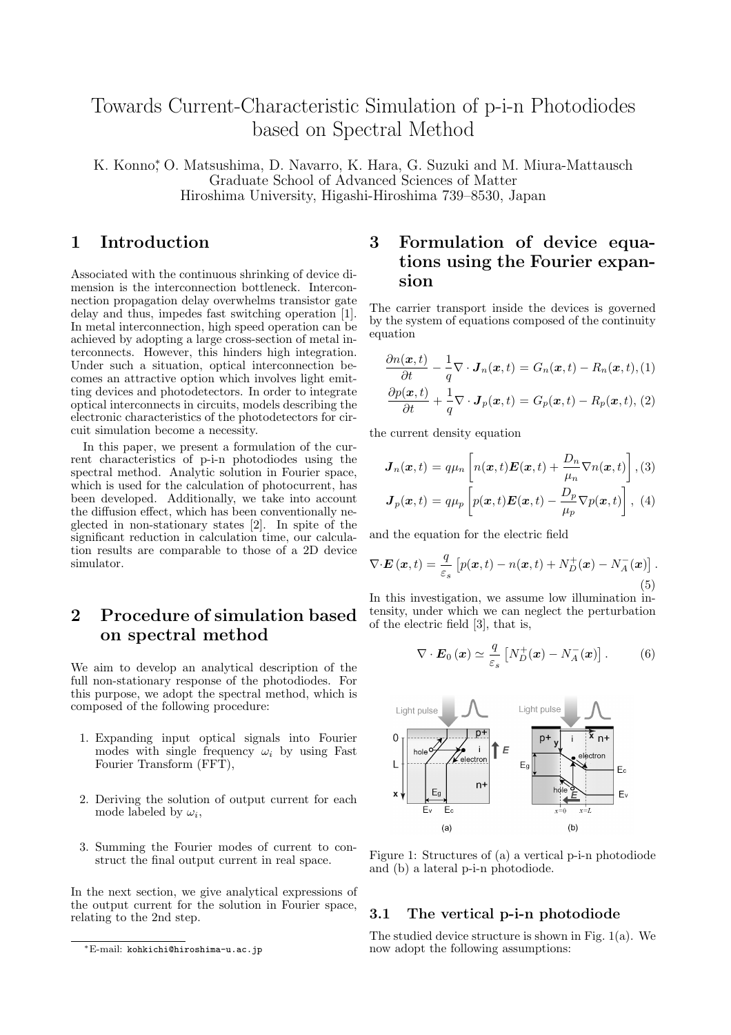# Towards Current-Characteristic Simulation of p-i-n Photodiodes based on Spectral Method

K. Konno<sup>\*</sup>, O. Matsushima, D. Navarro, K. Hara, G. Suzuki and M. Miura-Mattausch Graduate School of Advanced Sciences of Matter Hiroshima University, Higashi-Hiroshima 739–8530, Japan

### 1 Introduction

Associated with the continuous shrinking of device dimension is the interconnection bottleneck. Interconnection propagation delay overwhelms transistor gate delay and thus, impedes fast switching operation [1]. In metal interconnection, high speed operation can be achieved by adopting a large cross-section of metal interconnects. However, this hinders high integration. Under such a situation, optical interconnection becomes an attractive option which involves light emitting devices and photodetectors. In order to integrate optical interconnects in circuits, models describing the electronic characteristics of the photodetectors for circuit simulation become a necessity.

In this paper, we present a formulation of the current characteristics of p-i-n photodiodes using the spectral method. Analytic solution in Fourier space, which is used for the calculation of photocurrent, has been developed. Additionally, we take into account the diffusion effect, which has been conventionally neglected in non-stationary states [2]. In spite of the significant reduction in calculation time, our calculation results are comparable to those of a 2D device simulator.

# 2 Procedure of simulation based on spectral method

We aim to develop an analytical description of the full non-stationary response of the photodiodes. For this purpose, we adopt the spectral method, which is composed of the following procedure:

- 1. Expanding input optical signals into Fourier modes with single frequency  $\omega_i$  by using Fast Fourier Transform (FFT),
- 2. Deriving the solution of output current for each mode labeled by  $\omega_i$ ,
- 3. Summing the Fourier modes of current to construct the final output current in real space.

In the next section, we give analytical expressions of the output current for the solution in Fourier space, relating to the 2nd step.

# 3 Formulation of device equations using the Fourier expansion

The carrier transport inside the devices is governed by the system of equations composed of the continuity equation

$$
\frac{\partial n(\boldsymbol{x},t)}{\partial t} - \frac{1}{q} \nabla \cdot \boldsymbol{J}_n(\boldsymbol{x},t) = G_n(\boldsymbol{x},t) - R_n(\boldsymbol{x},t), (1)
$$

$$
\frac{\partial p(\boldsymbol{x},t)}{\partial t} + \frac{1}{q} \nabla \cdot \boldsymbol{J}_p(\boldsymbol{x},t) = G_p(\boldsymbol{x},t) - R_p(\boldsymbol{x},t), (2)
$$

the current density equation

$$
\mathbf{J}_n(\mathbf{x},t) = q\mu_n \left[ n(\mathbf{x},t) \mathbf{E}(\mathbf{x},t) + \frac{D_n}{\mu_n} \nabla n(\mathbf{x},t) \right], (3)
$$

$$
\mathbf{J}_p(\mathbf{x},t) = q\mu_p \left[ p(\mathbf{x},t) \mathbf{E}(\mathbf{x},t) - \frac{D_p}{\mu_p} \nabla p(\mathbf{x},t) \right], (4)
$$

and the equation for the electric field

$$
\nabla \cdot \mathbf{E}\left(\mathbf{x},t\right) = \frac{q}{\varepsilon_s} \left[ p(\mathbf{x},t) - n(\mathbf{x},t) + N_D^+(\mathbf{x}) - N_A^-(\mathbf{x}) \right].
$$
\n(5)

In this investigation, we assume low illumination intensity, under which we can neglect the perturbation of the electric field [3], that is,

$$
\nabla \cdot \boldsymbol{E}_0 \left( \boldsymbol{x} \right) \simeq \frac{q}{\varepsilon_s} \left[ N_D^+ (\boldsymbol{x}) - N_A^- (\boldsymbol{x}) \right]. \tag{6}
$$



Figure 1: Structures of (a) a vertical p-i-n photodiode and (b) a lateral p-i-n photodiode.

#### 3.1 The vertical p-i-n photodiode

The studied device structure is shown in Fig. 1(a). We now adopt the following assumptions:

<sup>∗</sup>E-mail: kohkichi@hiroshima-u.ac.jp